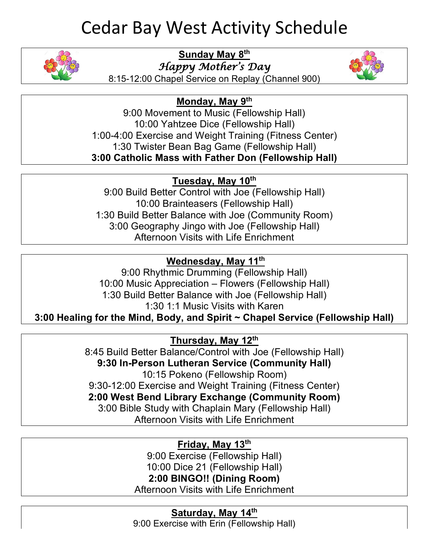# Cedar Bay West Activity Schedule



**Sunday May 8th**

*Happy Mother's Day* 



8:15-12:00 Chapel Service on Replay (Channel 900)

#### **Monday, May 9th**

9:00 Movement to Music (Fellowship Hall) 10:00 Yahtzee Dice (Fellowship Hall) 1:00-4:00 Exercise and Weight Training (Fitness Center) 1:30 Twister Bean Bag Game (Fellowship Hall) **3:00 Catholic Mass with Father Don (Fellowship Hall)**

#### **Tuesday, May 10th**

9:00 Build Better Control with Joe (Fellowship Hall) 10:00 Brainteasers (Fellowship Hall) 1:30 Build Better Balance with Joe (Community Room) 3:00 Geography Jingo with Joe (Fellowship Hall) Afternoon Visits with Life Enrichment

### **Wednesday, May 11th**

9:00 Rhythmic Drumming (Fellowship Hall) 10:00 Music Appreciation – Flowers (Fellowship Hall) 1:30 Build Better Balance with Joe (Fellowship Hall) 1:30 1:1 Music Visits with Karen

**3:00 Healing for the Mind, Body, and Spirit ~ Chapel Service (Fellowship Hall)**

#### **Thursday, May 12th**

8:45 Build Better Balance/Control with Joe (Fellowship Hall) **9:30 In-Person Lutheran Service (Community Hall)** 10:15 Pokeno (Fellowship Room) 9:30-12:00 Exercise and Weight Training (Fitness Center) **2:00 West Bend Library Exchange (Community Room)** 3:00 Bible Study with Chaplain Mary (Fellowship Hall) Afternoon Visits with Life Enrichment

#### **Friday, May 13th**

9:00 Exercise (Fellowship Hall) 10:00 Dice 21 (Fellowship Hall) **2:00 BINGO!! (Dining Room)**

Afternoon Visits with Life Enrichment

**Saturday, May 14th** 9:00 Exercise with Erin (Fellowship Hall)